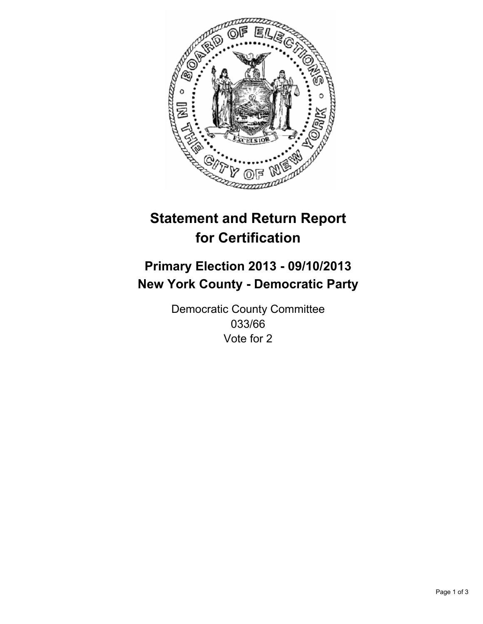

# **Statement and Return Report for Certification**

## **Primary Election 2013 - 09/10/2013 New York County - Democratic Party**

Democratic County Committee 033/66 Vote for 2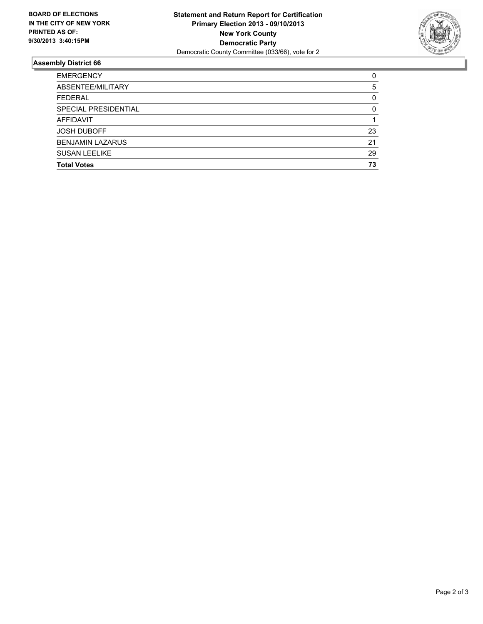

### **Assembly District 66**

| <b>EMERGENCY</b>        | 0        |
|-------------------------|----------|
| ABSENTEE/MILITARY       | 5        |
| <b>FEDERAL</b>          | 0        |
| SPECIAL PRESIDENTIAL    | $\Omega$ |
| <b>AFFIDAVIT</b>        |          |
| <b>JOSH DUBOFF</b>      | 23       |
| <b>BENJAMIN LAZARUS</b> | 21       |
| <b>SUSAN LEELIKE</b>    | 29       |
| <b>Total Votes</b>      | 73       |